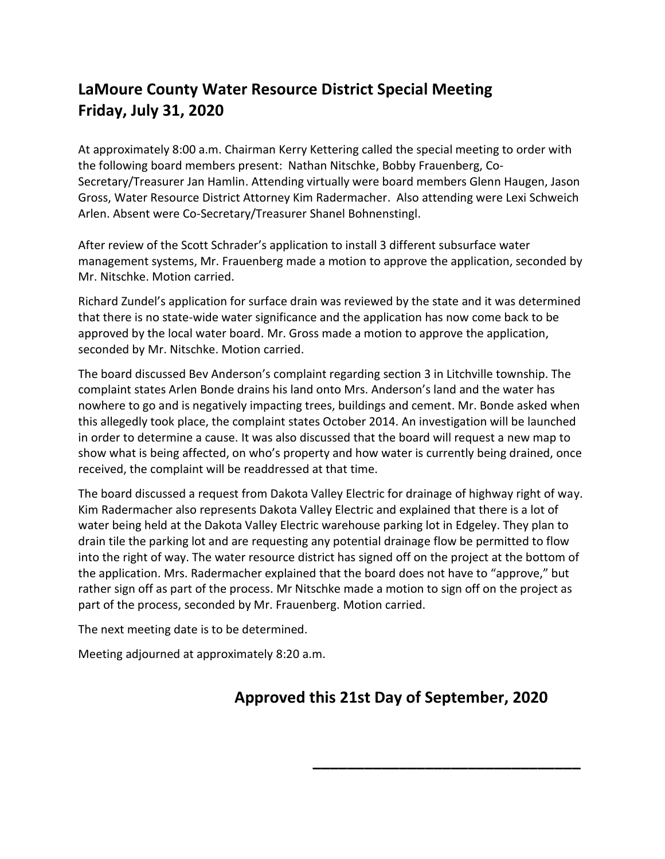## **LaMoure County Water Resource District Special Meeting Friday, July 31, 2020**

At approximately 8:00 a.m. Chairman Kerry Kettering called the special meeting to order with the following board members present: Nathan Nitschke, Bobby Frauenberg, Co-Secretary/Treasurer Jan Hamlin. Attending virtually were board members Glenn Haugen, Jason Gross, Water Resource District Attorney Kim Radermacher. Also attending were Lexi Schweich Arlen. Absent were Co-Secretary/Treasurer Shanel Bohnenstingl.

After review of the Scott Schrader's application to install 3 different subsurface water management systems, Mr. Frauenberg made a motion to approve the application, seconded by Mr. Nitschke. Motion carried.

Richard Zundel's application for surface drain was reviewed by the state and it was determined that there is no state-wide water significance and the application has now come back to be approved by the local water board. Mr. Gross made a motion to approve the application, seconded by Mr. Nitschke. Motion carried.

The board discussed Bev Anderson's complaint regarding section 3 in Litchville township. The complaint states Arlen Bonde drains his land onto Mrs. Anderson's land and the water has nowhere to go and is negatively impacting trees, buildings and cement. Mr. Bonde asked when this allegedly took place, the complaint states October 2014. An investigation will be launched in order to determine a cause. It was also discussed that the board will request a new map to show what is being affected, on who's property and how water is currently being drained, once received, the complaint will be readdressed at that time.

The board discussed a request from Dakota Valley Electric for drainage of highway right of way. Kim Radermacher also represents Dakota Valley Electric and explained that there is a lot of water being held at the Dakota Valley Electric warehouse parking lot in Edgeley. They plan to drain tile the parking lot and are requesting any potential drainage flow be permitted to flow into the right of way. The water resource district has signed off on the project at the bottom of the application. Mrs. Radermacher explained that the board does not have to "approve," but rather sign off as part of the process. Mr Nitschke made a motion to sign off on the project as part of the process, seconded by Mr. Frauenberg. Motion carried.

The next meeting date is to be determined.

Meeting adjourned at approximately 8:20 a.m.

## **Approved this 21st Day of September, 2020**

**\_\_\_\_\_\_\_\_\_\_\_\_\_\_\_\_\_\_\_\_\_\_\_\_\_\_\_\_\_\_\_**